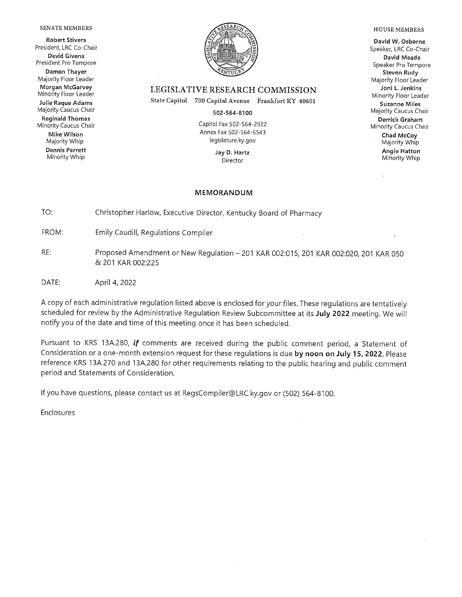#### SENATE MEMBERS

**Robert Stivers** President, LRC Co-Chair **David Givens** President Pro Tempore Damon Thayer Majority Floor Leader Morgan McGarvey Minority Floor Leader Julie Raque Adams Majority Caucus Chair **Reginald Thomas** 

Minority Caucus Chair Mike Wilson Majority Whip **Dennis Parrett** Minority Whip



#### LEGISLATIVE RESEARCH COMMISSION

State Capitol 700 Capital Avenue Frankfort KY 40601

502-564-8100

Capitol Fax 502-564-2922 Annex Fax 502-564-6543 legislature.ky.gov

> Jay D. Hartz Director

#### **MEMORANDUM**

TO: Christopher Harlow, Executive Director, Kentucky Board of Pharmacy

FROM: **Emily Caudill, Regulations Compiler** 

- RE: Proposed Amendment or New Regulation - 201 KAR 002:015, 201 KAR 002:020, 201 KAR 050 & 201 KAR 002:225
- DATE: April 4, 2022

A copy of each administrative regulation listed above is enclosed for your files. These regulations are tentatively scheduled for review by the Administrative Regulation Review Subcommittee at its July 2022 meeting. We will notify you of the date and time of this meeting once it has been scheduled.

Pursuant to KRS 13A.280, if comments are received during the public comment period, a Statement of Consideration or a one-month extension request for these requlations is due by noon on July 15, 2022. Please reference KRS 13A.270 and 13A.280 for other requirements relating to the public hearing and public comment period and Statements of Consideration.

If you have questions, please contact us at RegsCompiler@LRC.ky.gov or (502) 564-8100.

Enclosures

#### **HOUSE MEMBERS**

David W. Osborne Speaker, LRC Co-Chair David Meade Speaker Pro Tempore Steven Rudy Majority Floor Leader Joni L. Jenkins Minority Floor Leader **Suzanne Miles** Majority Caucus Chair Derrick Graham Minority Caucus Chair Chad McCoy Majority Whip **Angie Hatton** 

Minority Whip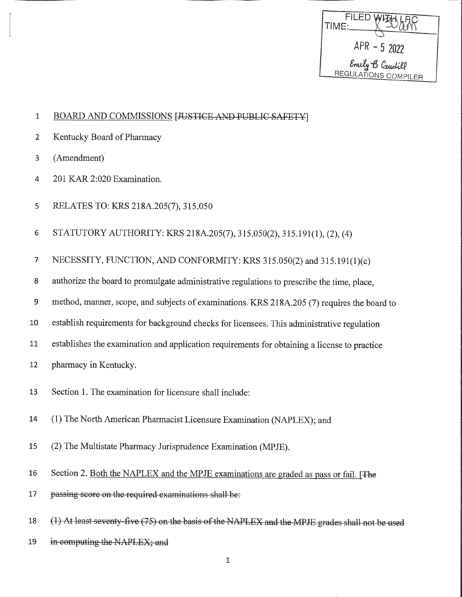| FILED WIEMLP<br>TIME:                   |
|-----------------------------------------|
| $APR - 52022$                           |
| Emily B Caudill<br>REGULATIONS COMPILER |

#### $\mathbf 1$ BOARD AND COMMISSIONS [JUSTICE AND PUBLIC SAFETY]

- $\overline{2}$ Kentucky Board of Pharmacy
- (Amendment)  $\overline{3}$
- $\overline{4}$ 201 KAR 2:020 Examination.
- 5 RELATES TO: KRS 218A.205(7), 315.050
- 6 STATUTORY AUTHORITY: KRS 218A.205(7), 315.050(2), 315.191(1), (2), (4)
- NECESSITY, FUNCTION, AND CONFORMITY: KRS 315.050(2) and 315.191(1)(c)  $\overline{7}$
- 8 authorize the board to promulgate administrative regulations to prescribe the time, place,
- method, manner, scope, and subjects of examinations. KRS 218A.205 (7) requires the board to 9
- establish requirements for background checks for licensees. This administrative regulation 10
- establishes the examination and application requirements for obtaining a license to practice 11
- pharmacy in Kentucky. 12
- Section 1. The examination for licensure shall include: 13
- 14 (1) The North American Pharmacist Licensure Examination (NAPLEX); and
- 15 (2) The Multistate Pharmacy Jurisprudence Examination (MPJE).
- 16 Section 2. Both the NAPLEX and the MPJE examinations are graded as pass or fail. [The
- 17 passing score on the required examinations shall be:
- (1) At least seventy-five (75) on the basis of the NAPLEX and the MPJE grades shall not be used 18
- 19 in computing the NAPLEX; and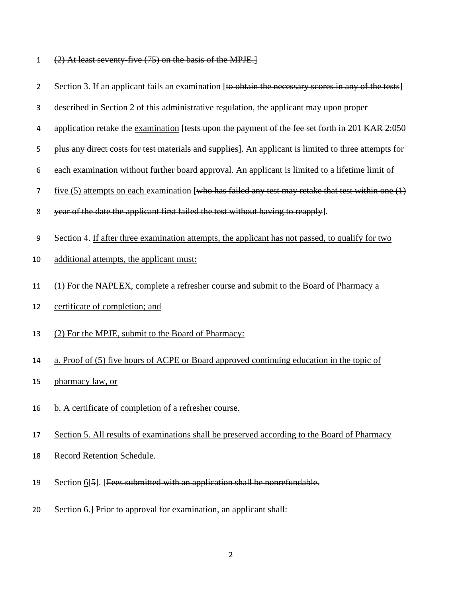| $(2)$ At least seventy five $(75)$ on the basis of the MDIE 1                 |  |  |
|-------------------------------------------------------------------------------|--|--|
| $\sqrt{2}$ ) in igast seventy-five $\sqrt{2}$ ) on the basis of the inf first |  |  |

| $\overline{2}$ | Section 3. If an applicant fails an examination [to obtain the necessary scores in any of the tests]   |
|----------------|--------------------------------------------------------------------------------------------------------|
| 3              | described in Section 2 of this administrative regulation, the applicant may upon proper                |
| 4              | application retake the examination [tests upon the payment of the fee set forth in 201 KAR 2:050       |
| 5              | plus any direct costs for test materials and supplies]. An applicant is limited to three attempts for  |
| 6              | each examination without further board approval. An applicant is limited to a lifetime limit of        |
| 7              | five $(5)$ attempts on each examination [who has failed any test may retake that test within one $(1)$ |
| 8              | year of the date the applicant first failed the test without having to reapply].                       |
| 9              | Section 4. If after three examination attempts, the applicant has not passed, to qualify for two       |
| 10             | additional attempts, the applicant must:                                                               |
| 11             | (1) For the NAPLEX, complete a refresher course and submit to the Board of Pharmacy a                  |
| 12             | certificate of completion; and                                                                         |
| 13             | (2) For the MPJE, submit to the Board of Pharmacy:                                                     |
| 14             | a. Proof of (5) five hours of ACPE or Board approved continuing education in the topic of              |
| 15             | pharmacy law, or                                                                                       |
| 16             | b. A certificate of completion of a refresher course.                                                  |
| 17             | Section 5. All results of examinations shall be preserved according to the Board of Pharmacy           |
| 18             | Record Retention Schedule.                                                                             |
| 19             | Section 6[5]. [Fees submitted with an application shall be nonrefundable.                              |

20 Section 6.] Prior to approval for examination, an applicant shall: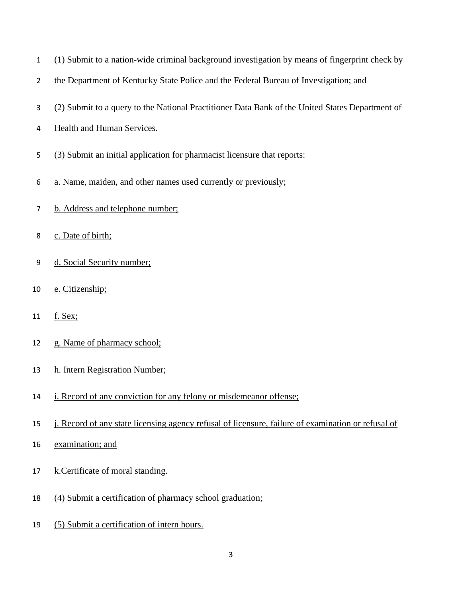| 1              | (1) Submit to a nation-wide criminal background investigation by means of fingerprint check by  |
|----------------|-------------------------------------------------------------------------------------------------|
| $\overline{2}$ | the Department of Kentucky State Police and the Federal Bureau of Investigation; and            |
| 3              | (2) Submit to a query to the National Practitioner Data Bank of the United States Department of |
| 4              | Health and Human Services.                                                                      |
| 5              | (3) Submit an initial application for pharmacist licensure that reports:                        |
| 6              | a. Name, maiden, and other names used currently or previously;                                  |
| 7              | b. Address and telephone number;                                                                |
| 8              | c. Date of birth;                                                                               |
| 9              | d. Social Security number;                                                                      |
| 10             | e. Citizenship;                                                                                 |
| 11             | <u>f. Sex;</u>                                                                                  |
| 12             | g. Name of pharmacy school;                                                                     |
| 13             | h. Intern Registration Number;                                                                  |
| 14             | i. Record of any conviction for any felony or misdemeanor offense;                              |
| 15             | Record of any state licensing agency refusal of licensure, failure of examination or refusal of |
| 16             | examination; and                                                                                |
| 17             | k.Certificate of moral standing.                                                                |
| 18             | (4) Submit a certification of pharmacy school graduation;                                       |
|                |                                                                                                 |

19 (5) Submit a certification of intern hours.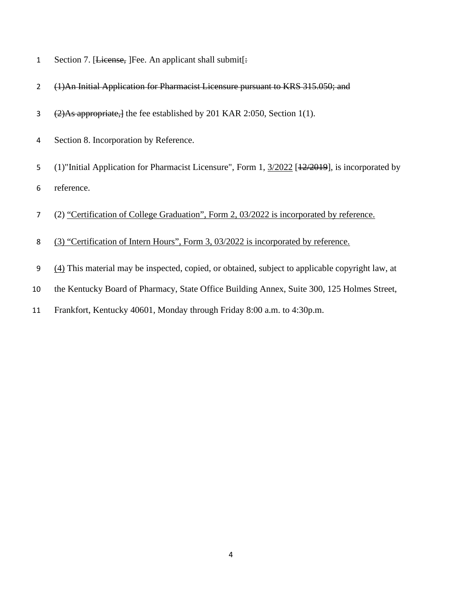- 1 Section 7. [License, ]Fee. An applicant shall submit[:
- (1)An Initial Application for Pharmacist Licensure pursuant to KRS 315.050; and
- 3 (2)As appropriate, the fee established by 201 KAR 2:050, Section 1(1).
- Section 8. Incorporation by Reference.
- 5 (1)"Initial Application for Pharmacist Licensure", Form 1,  $\frac{3}{2022}$  [12/2019], is incorporated by
- reference.
- (2) "Certification of College Graduation", Form 2, 03/2022 is incorporated by reference.
- (3) "Certification of Intern Hours", Form 3, 03/2022 is incorporated by reference.
- (4) This material may be inspected, copied, or obtained, subject to applicable copyright law, at
- the Kentucky Board of Pharmacy, State Office Building Annex, Suite 300, 125 Holmes Street,
- Frankfort, Kentucky 40601, Monday through Friday 8:00 a.m. to 4:30p.m.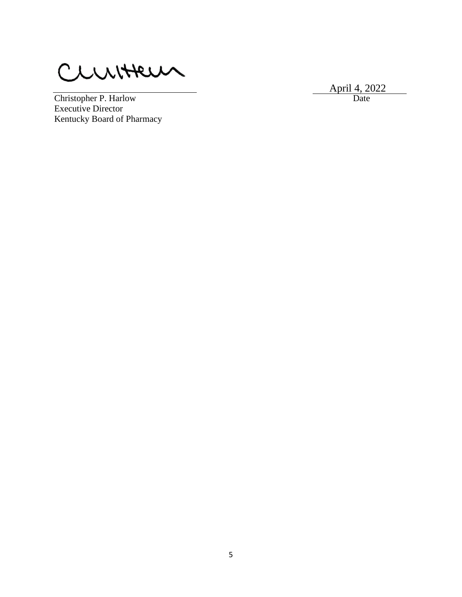CLUITTEUN

April 4, 2022

Christopher P. Harlow Date Executive Director Kentucky Board of Pharmacy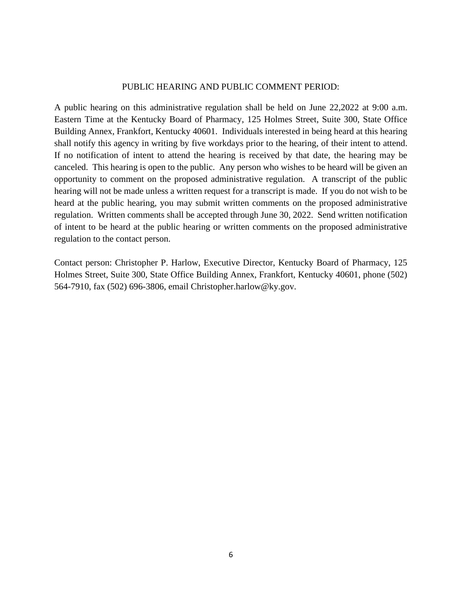#### PUBLIC HEARING AND PUBLIC COMMENT PERIOD:

A public hearing on this administrative regulation shall be held on June 22,2022 at 9:00 a.m. Eastern Time at the Kentucky Board of Pharmacy, 125 Holmes Street, Suite 300, State Office Building Annex, Frankfort, Kentucky 40601. Individuals interested in being heard at this hearing shall notify this agency in writing by five workdays prior to the hearing, of their intent to attend. If no notification of intent to attend the hearing is received by that date, the hearing may be canceled. This hearing is open to the public. Any person who wishes to be heard will be given an opportunity to comment on the proposed administrative regulation. A transcript of the public hearing will not be made unless a written request for a transcript is made. If you do not wish to be heard at the public hearing, you may submit written comments on the proposed administrative regulation. Written comments shall be accepted through June 30, 2022. Send written notification of intent to be heard at the public hearing or written comments on the proposed administrative regulation to the contact person.

Contact person: Christopher P. Harlow, Executive Director, Kentucky Board of Pharmacy, 125 Holmes Street, Suite 300, State Office Building Annex, Frankfort, Kentucky 40601, phone (502) 564-7910, fax (502) 696-3806, email Christopher.harlow@ky.gov.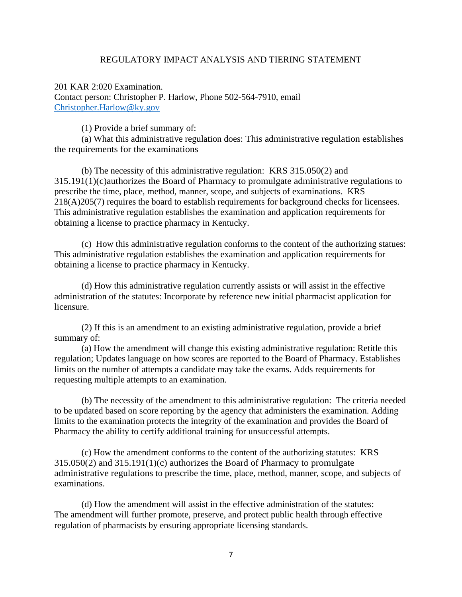## REGULATORY IMPACT ANALYSIS AND TIERING STATEMENT

201 KAR 2:020 Examination. Contact person: Christopher P. Harlow, Phone 502-564-7910, email [Christopher.Harlow@ky.gov](mailto:Christopher.Harlow@ky.gov)

(1) Provide a brief summary of:

(a) What this administrative regulation does: This administrative regulation establishes the requirements for the examinations

(b) The necessity of this administrative regulation: KRS 315.050(2) and 315.191(1)(c)authorizes the Board of Pharmacy to promulgate administrative regulations to prescribe the time, place, method, manner, scope, and subjects of examinations. KRS 218(A)205(7) requires the board to establish requirements for background checks for licensees. This administrative regulation establishes the examination and application requirements for obtaining a license to practice pharmacy in Kentucky.

(c) How this administrative regulation conforms to the content of the authorizing statues: This administrative regulation establishes the examination and application requirements for obtaining a license to practice pharmacy in Kentucky.

(d) How this administrative regulation currently assists or will assist in the effective administration of the statutes: Incorporate by reference new initial pharmacist application for licensure.

(2) If this is an amendment to an existing administrative regulation, provide a brief summary of:

(a) How the amendment will change this existing administrative regulation: Retitle this regulation; Updates language on how scores are reported to the Board of Pharmacy. Establishes limits on the number of attempts a candidate may take the exams. Adds requirements for requesting multiple attempts to an examination.

(b) The necessity of the amendment to this administrative regulation: The criteria needed to be updated based on score reporting by the agency that administers the examination. Adding limits to the examination protects the integrity of the examination and provides the Board of Pharmacy the ability to certify additional training for unsuccessful attempts.

(c) How the amendment conforms to the content of the authorizing statutes: KRS 315.050(2) and 315.191(1)(c) authorizes the Board of Pharmacy to promulgate administrative regulations to prescribe the time, place, method, manner, scope, and subjects of examinations.

(d) How the amendment will assist in the effective administration of the statutes: The amendment will further promote, preserve, and protect public health through effective regulation of pharmacists by ensuring appropriate licensing standards.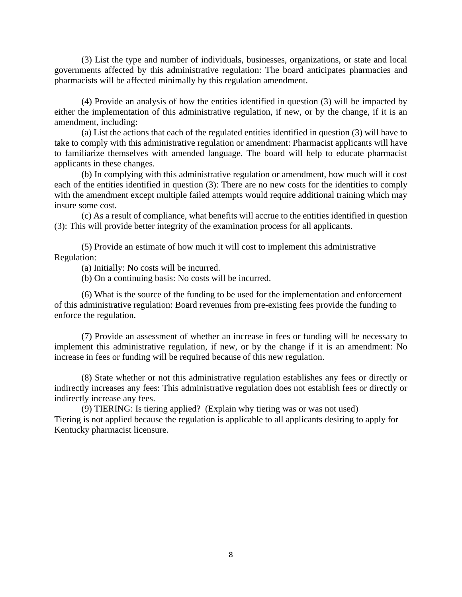(3) List the type and number of individuals, businesses, organizations, or state and local governments affected by this administrative regulation: The board anticipates pharmacies and pharmacists will be affected minimally by this regulation amendment.

(4) Provide an analysis of how the entities identified in question (3) will be impacted by either the implementation of this administrative regulation, if new, or by the change, if it is an amendment, including:

(a) List the actions that each of the regulated entities identified in question (3) will have to take to comply with this administrative regulation or amendment: Pharmacist applicants will have to familiarize themselves with amended language. The board will help to educate pharmacist applicants in these changes.

(b) In complying with this administrative regulation or amendment, how much will it cost each of the entities identified in question (3): There are no new costs for the identities to comply with the amendment except multiple failed attempts would require additional training which may insure some cost.

(c) As a result of compliance, what benefits will accrue to the entities identified in question (3): This will provide better integrity of the examination process for all applicants.

(5) Provide an estimate of how much it will cost to implement this administrative Regulation:

(a) Initially: No costs will be incurred.

(b) On a continuing basis: No costs will be incurred.

(6) What is the source of the funding to be used for the implementation and enforcement of this administrative regulation: Board revenues from pre-existing fees provide the funding to enforce the regulation.

(7) Provide an assessment of whether an increase in fees or funding will be necessary to implement this administrative regulation, if new, or by the change if it is an amendment: No increase in fees or funding will be required because of this new regulation.

(8) State whether or not this administrative regulation establishes any fees or directly or indirectly increases any fees: This administrative regulation does not establish fees or directly or indirectly increase any fees.

(9) TIERING: Is tiering applied? (Explain why tiering was or was not used) Tiering is not applied because the regulation is applicable to all applicants desiring to apply for Kentucky pharmacist licensure.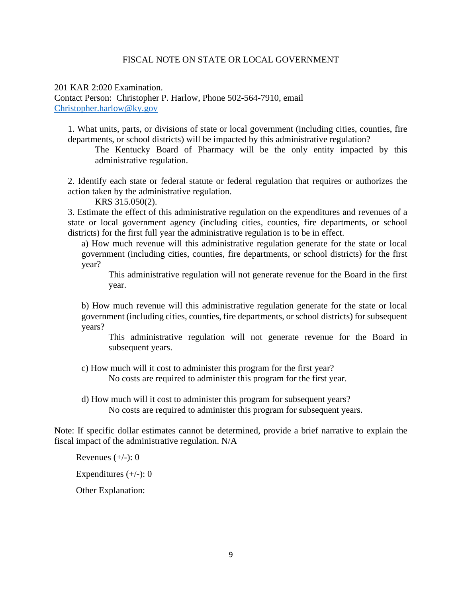### FISCAL NOTE ON STATE OR LOCAL GOVERNMENT

201 KAR 2:020 Examination. Contact Person: Christopher P. Harlow, Phone 502-564-7910, email [Christopher.harlow@ky.gov](mailto:Christopher.harlow@ky.gov)

1. What units, parts, or divisions of state or local government (including cities, counties, fire departments, or school districts) will be impacted by this administrative regulation?

The Kentucky Board of Pharmacy will be the only entity impacted by this administrative regulation.

2. Identify each state or federal statute or federal regulation that requires or authorizes the action taken by the administrative regulation.

KRS 315.050(2).

3. Estimate the effect of this administrative regulation on the expenditures and revenues of a state or local government agency (including cities, counties, fire departments, or school districts) for the first full year the administrative regulation is to be in effect.

a) How much revenue will this administrative regulation generate for the state or local government (including cities, counties, fire departments, or school districts) for the first year?

This administrative regulation will not generate revenue for the Board in the first year.

b) How much revenue will this administrative regulation generate for the state or local government (including cities, counties, fire departments, or school districts) for subsequent years?

This administrative regulation will not generate revenue for the Board in subsequent years.

c) How much will it cost to administer this program for the first year? No costs are required to administer this program for the first year.

d) How much will it cost to administer this program for subsequent years? No costs are required to administer this program for subsequent years.

Note: If specific dollar estimates cannot be determined, provide a brief narrative to explain the fiscal impact of the administrative regulation. N/A

Revenues  $(+/-)$ : 0

Expenditures  $(+/-): 0$ 

Other Explanation: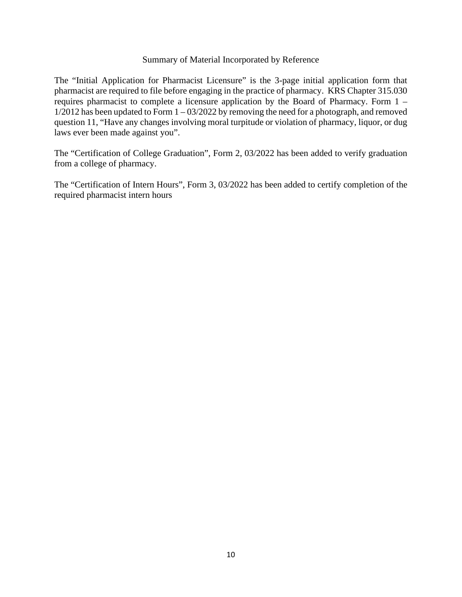### Summary of Material Incorporated by Reference

The "Initial Application for Pharmacist Licensure" is the 3-page initial application form that pharmacist are required to file before engaging in the practice of pharmacy. KRS Chapter 315.030 requires pharmacist to complete a licensure application by the Board of Pharmacy. Form 1 –  $1/2012$  has been updated to Form  $1 - 03/2022$  by removing the need for a photograph, and removed question 11, "Have any changes involving moral turpitude or violation of pharmacy, liquor, or dug laws ever been made against you".

The "Certification of College Graduation", Form 2, 03/2022 has been added to verify graduation from a college of pharmacy.

The "Certification of Intern Hours", Form 3, 03/2022 has been added to certify completion of the required pharmacist intern hours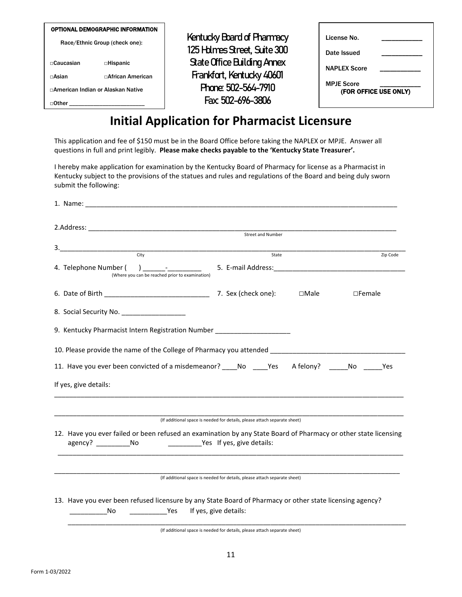| OPTIONAL DEMOGRAPHIC INFORMATION   |                           |  |  |
|------------------------------------|---------------------------|--|--|
| Race/Ethnic Group (check one):     |                           |  |  |
|                                    |                           |  |  |
| ⊓Caucasian                         | □Hispanic                 |  |  |
| ⊓Asian                             | $\sqcap$ African American |  |  |
| ⊓American Indian or Alaskan Native |                           |  |  |
| Other                              |                           |  |  |

Kentucky Board of Pharmacy 125 Hdmes Street, Suite 300 State Office Building Annex Frankfort, Kentucky 40601 Phone: 502-564-7910 Fax: 502-696-3806

| License No.                                |  |  |  |
|--------------------------------------------|--|--|--|
| Date Issued                                |  |  |  |
| <b>NAPLEX Score</b>                        |  |  |  |
| <b>MPJE Score</b><br>(FOR OFFICE USE ONLY) |  |  |  |

# **Initial Application for Pharmacist Licensure**

This application and fee of \$150 must be in the Board Office before taking the NAPLEX or MPJE. Answer all questions in full and print legibly. **Please make checks payable to the 'Kentucky State Treasurer'.**

 I hereby make application for examination by the Kentucky Board of Pharmacy for license as a Pharmacist in Kentucky subject to the provisions of the statues and rules and regulations of the Board and being duly sworn submit the following:

|                                                                          | Street and Number                                                                                                                                                                                                                                                                                                                                                                    |       |                  |
|--------------------------------------------------------------------------|--------------------------------------------------------------------------------------------------------------------------------------------------------------------------------------------------------------------------------------------------------------------------------------------------------------------------------------------------------------------------------------|-------|------------------|
|                                                                          |                                                                                                                                                                                                                                                                                                                                                                                      |       |                  |
| City                                                                     |                                                                                                                                                                                                                                                                                                                                                                                      | State | Zip Code         |
| 4. Telephone Number (<br>(Where you can be reached prior to examination) | $\overline{a}$ $\overline{a}$ $\overline{a}$ $\overline{a}$ $\overline{a}$ $\overline{a}$ $\overline{a}$ $\overline{a}$ $\overline{a}$ $\overline{a}$ $\overline{a}$ $\overline{a}$ $\overline{a}$ $\overline{a}$ $\overline{a}$ $\overline{a}$ $\overline{a}$ $\overline{a}$ $\overline{a}$ $\overline{a}$ $\overline{a}$ $\overline{a}$ $\overline{a}$ $\overline{a}$ $\overline{$ |       |                  |
|                                                                          |                                                                                                                                                                                                                                                                                                                                                                                      |       | $\square$ Female |
|                                                                          |                                                                                                                                                                                                                                                                                                                                                                                      |       |                  |
|                                                                          | 9. Kentucky Pharmacist Intern Registration Number ________________________                                                                                                                                                                                                                                                                                                           |       |                  |
|                                                                          |                                                                                                                                                                                                                                                                                                                                                                                      |       |                  |
|                                                                          | 11. Have you ever been convicted of a misdemeanor? _____ No ______ Yes A felony? ______ No ______ Yes                                                                                                                                                                                                                                                                                |       |                  |
| If yes, give details:                                                    |                                                                                                                                                                                                                                                                                                                                                                                      |       |                  |
|                                                                          | (If additional space is needed for details, please attach separate sheet)                                                                                                                                                                                                                                                                                                            |       |                  |
|                                                                          | 12. Have you ever failed or been refused an examination by any State Board of Pharmacy or other state licensing                                                                                                                                                                                                                                                                      |       |                  |
|                                                                          | (If additional space is needed for details, please attach separate sheet)                                                                                                                                                                                                                                                                                                            |       |                  |
| No                                                                       | 13. Have you ever been refused licensure by any State Board of Pharmacy or other state licensing agency?<br>Yes If yes, give details:                                                                                                                                                                                                                                                |       |                  |
|                                                                          | (If additional space is needed for details, please attach separate sheet)                                                                                                                                                                                                                                                                                                            |       |                  |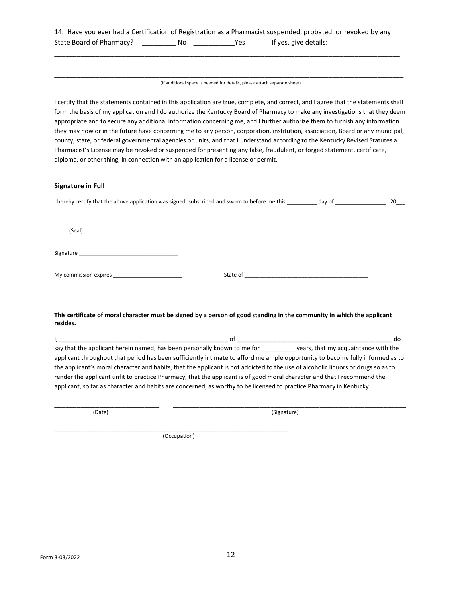|                          |    |      |                       | 14. Have you ever had a Certification of Registration as a Pharmacist suspended, probated, or revoked by any |
|--------------------------|----|------|-----------------------|--------------------------------------------------------------------------------------------------------------|
| State Board of Pharmacy? | No | Yes. | If yes, give details: |                                                                                                              |

\_\_\_\_\_\_\_\_\_\_\_\_\_\_\_\_\_\_\_\_\_\_\_\_\_\_\_\_\_\_\_\_\_\_\_\_\_\_\_\_\_\_\_\_\_\_\_\_\_\_\_\_\_\_\_\_\_\_\_\_\_\_\_\_\_\_\_\_\_\_\_\_\_\_\_\_\_\_\_\_\_\_\_\_\_\_\_\_\_\_\_\_

\_\_\_\_\_\_\_\_\_\_\_\_\_\_\_\_\_\_\_\_\_\_\_\_\_\_\_\_\_\_\_\_\_\_\_\_\_\_\_\_\_\_\_\_\_\_\_\_\_\_\_\_\_\_\_\_\_\_\_\_\_\_\_\_\_\_\_\_\_\_\_\_\_\_\_\_\_\_\_\_\_\_\_\_\_\_\_\_\_\_\_\_\_ (If additional space is needed for details, please attach separate sheet)

I certify that the statements contained in this application are true, complete, and correct, and I agree that the statements shall form the basis of my application and I do authorize the Kentucky Board of Pharmacy to make any investigations that they deem appropriate and to secure any additional information concerning me, and I further authorize them to furnish any information they may now or in the future have concerning me to any person, corporation, institution, association, Board or any municipal, county, state, or federal governmental agencies or units, and that I understand according to the Kentucky Revised Statutes a Pharmacist's License may be revoked or suspended for presenting any false, fraudulent, or forged statement, certificate, diploma, or other thing, in connection with an application for a license or permit.

| (Seal)                                                                                                                                                                                                                              |  |
|-------------------------------------------------------------------------------------------------------------------------------------------------------------------------------------------------------------------------------------|--|
|                                                                                                                                                                                                                                     |  |
| My commission expires <b>All Accords</b> 2004 and 2007 and 2008 and 2008 and 2008 and 2008 and 2008 and 2008 and 2008 and 2008 and 2008 and 2008 and 2008 and 2008 and 2008 and 2008 and 2008 and 2008 and 2008 and 2008 and 2008 a |  |
| This certificate of moral character must be signed by a person of good standing in the community in which the applicant<br>resides.                                                                                                 |  |

I, \_\_\_\_\_\_\_\_\_\_\_\_\_\_\_\_\_\_\_\_\_\_\_\_\_\_\_\_\_\_\_\_\_\_\_\_\_\_\_\_\_\_\_\_\_\_\_\_\_\_ of \_\_\_\_\_\_\_\_\_\_\_\_\_\_\_\_\_\_\_\_\_\_\_\_\_\_\_\_\_\_\_\_\_\_\_\_\_\_\_\_\_\_\_\_\_\_ do say that the applicant herein named, has been personally known to me for \_\_\_\_\_\_\_\_\_\_ years, that my acquaintance with the applicant throughout that period has been sufficiently intimate to afford me ample opportunity to become fully informed as to the applicant's moral character and habits, that the applicant is not addicted to the use of alcoholic liquors or drugs so as to render the applicant unfit to practice Pharmacy, that the applicant is of good moral character and that I recommend the applicant, so far as character and habits are concerned, as worthy to be licensed to practice Pharmacy in Kentucky.

\_\_\_\_\_\_\_\_\_\_\_\_\_\_\_\_\_\_\_\_\_\_\_\_\_\_\_\_ \_\_\_\_\_\_\_\_\_\_\_\_\_\_\_\_\_\_\_\_\_\_\_\_\_\_\_\_\_\_\_\_\_\_\_\_\_\_\_\_\_\_\_\_\_\_\_\_\_\_\_\_\_\_\_\_\_\_\_\_\_\_

(Date)

 (Signature) \_\_\_\_\_\_\_\_\_\_\_\_\_\_\_\_\_\_\_\_\_\_\_\_\_\_\_\_\_\_\_\_\_\_\_\_\_\_\_\_\_\_\_\_\_\_\_\_\_\_\_\_

(Occupation)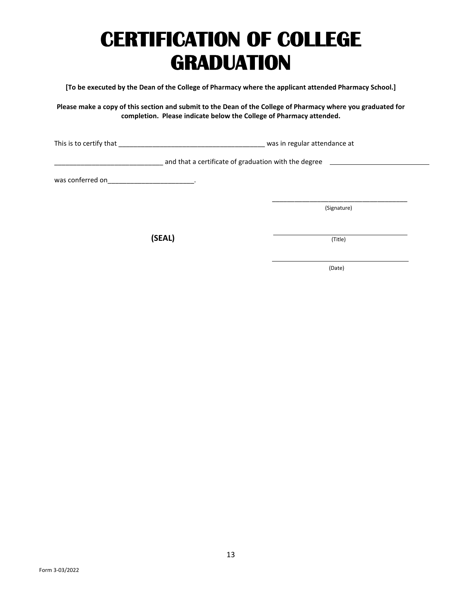# **CERTIFICATION OF COLLEGE GRADUATION**

**[To be executed by the Dean of the College of Pharmacy where the applicant attended Pharmacy School.]** 

**Please make a copy of this section and submit to the Dean of the College of Pharmacy where you graduated for completion. Please indicate below the College of Pharmacy attended.**

This is to certify that \_\_\_\_\_\_\_\_\_\_\_\_\_\_\_\_\_\_\_\_\_\_\_\_\_\_\_\_\_\_\_\_\_\_\_\_\_\_\_ was in regular attendance at

\_\_\_\_\_\_\_\_\_\_\_\_\_\_\_\_\_\_\_\_\_\_\_\_\_\_\_\_\_ and that a certificate of graduation with the degree

was conferred on \_\_\_\_\_\_\_\_\_\_\_\_\_\_\_\_\_\_\_\_\_\_\_\_\_.

(Signature)

\_\_\_\_\_\_\_\_\_\_\_\_\_\_\_\_\_\_\_\_\_\_\_\_\_\_\_\_\_\_\_\_\_\_\_\_

 **(SEAL)**

(Title)

(Date)